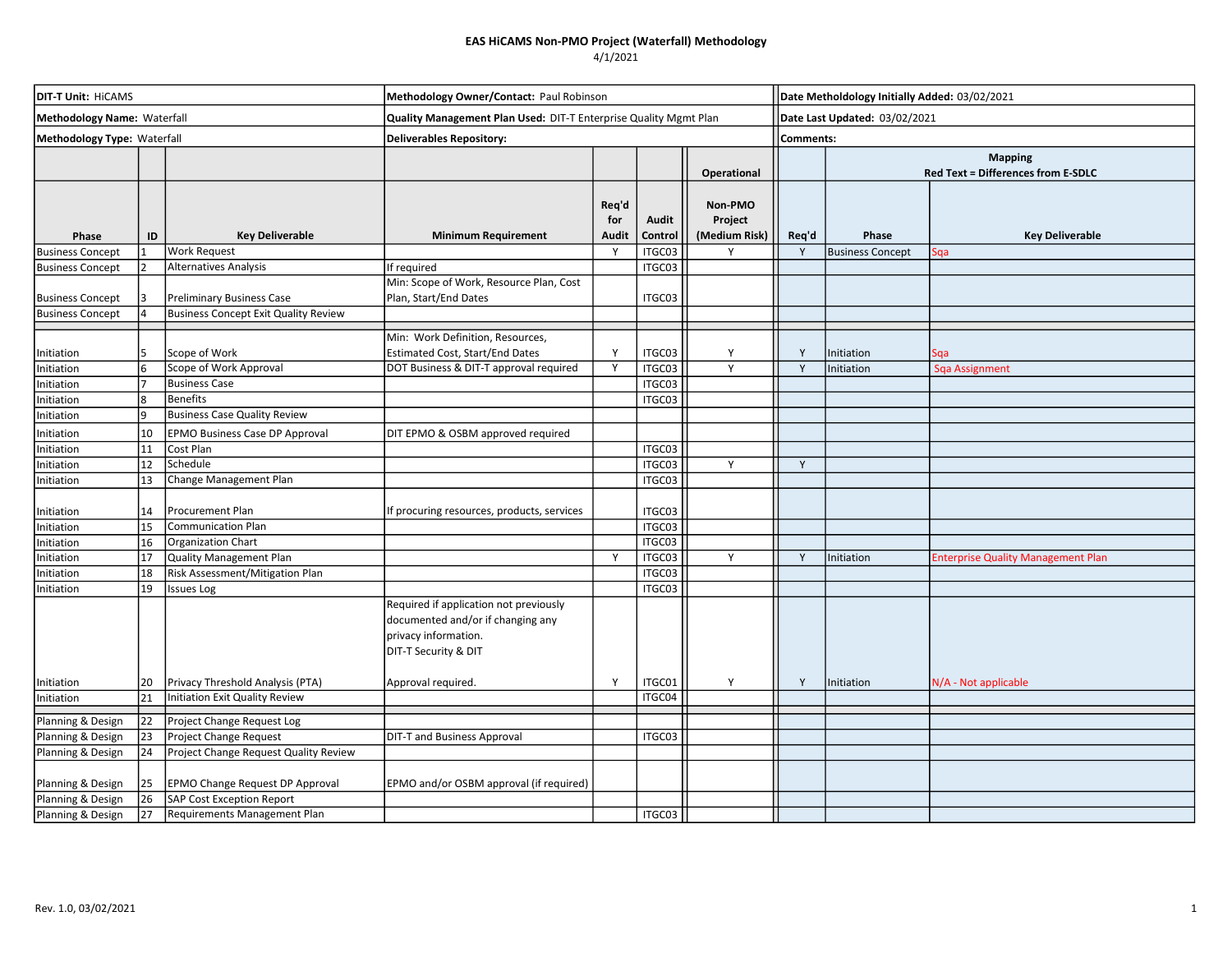## EAS HiCAMS Non-PMO Project (Waterfall) Methodology

#### 4/1/2021

| <b>DIT-T Unit: HICAMS</b><br>Methodology Name: Waterfall |    |                                             | Methodology Owner/Contact: Paul Robinson<br>Quality Management Plan Used: DIT-T Enterprise Quality Mgmt Plan                |                       |                  |                                     |              | Date Metholdology Initially Added: 03/02/2021<br>Date Last Updated: 03/02/2021 |                                                      |  |  |
|----------------------------------------------------------|----|---------------------------------------------|-----------------------------------------------------------------------------------------------------------------------------|-----------------------|------------------|-------------------------------------|--------------|--------------------------------------------------------------------------------|------------------------------------------------------|--|--|
|                                                          |    |                                             |                                                                                                                             |                       |                  |                                     |              |                                                                                |                                                      |  |  |
|                                                          |    |                                             |                                                                                                                             |                       |                  | Operational                         |              |                                                                                | <b>Mapping</b><br>Red Text = Differences from E-SDLC |  |  |
| Phase                                                    | ID | <b>Key Deliverable</b>                      | <b>Minimum Requirement</b>                                                                                                  | Req'd<br>for<br>Audit | Audit<br>Control | Non-PMO<br>Project<br>(Medium Risk) | Req'd        | Phase                                                                          | <b>Key Deliverable</b>                               |  |  |
| <b>Business Concept</b>                                  |    | <b>Work Request</b>                         |                                                                                                                             | Y                     | ITGC03           | Υ                                   | Y            | <b>Business Concept</b>                                                        | Sga                                                  |  |  |
| <b>Business Concept</b>                                  |    | Alternatives Analysis                       | If required                                                                                                                 |                       | ITGC03           |                                     |              |                                                                                |                                                      |  |  |
| <b>Business Concept</b>                                  |    | <b>Preliminary Business Case</b>            | Min: Scope of Work, Resource Plan, Cost<br>Plan, Start/End Dates                                                            |                       | ITGC03           |                                     |              |                                                                                |                                                      |  |  |
| <b>Business Concept</b>                                  |    | <b>Business Concept Exit Quality Review</b> |                                                                                                                             |                       |                  |                                     |              |                                                                                |                                                      |  |  |
| Initiation                                               | 5  | Scope of Work                               | Min: Work Definition, Resources,<br><b>Estimated Cost, Start/End Dates</b>                                                  | Y                     | ITGC03           | Y                                   | Y            | nitiation                                                                      | Sqa                                                  |  |  |
| Initiation                                               | 6  | Scope of Work Approval                      | DOT Business & DIT-T approval required                                                                                      | Y                     | ITGC03           | Y                                   | $\mathsf{Y}$ | Initiation                                                                     | <b>Sqa Assignment</b>                                |  |  |
| Initiation                                               |    | <b>Business Case</b>                        |                                                                                                                             |                       | ITGC03           |                                     |              |                                                                                |                                                      |  |  |
| Initiation                                               | 8  | <b>Benefits</b>                             |                                                                                                                             |                       | ITGC03           |                                     |              |                                                                                |                                                      |  |  |
| Initiation                                               | ۱q | <b>Business Case Quality Review</b>         |                                                                                                                             |                       |                  |                                     |              |                                                                                |                                                      |  |  |
| Initiation                                               | 10 | <b>EPMO Business Case DP Approval</b>       | DIT EPMO & OSBM approved required                                                                                           |                       |                  |                                     |              |                                                                                |                                                      |  |  |
| Initiation                                               | 11 | Cost Plan                                   |                                                                                                                             |                       | ITGC03           |                                     |              |                                                                                |                                                      |  |  |
| Initiation                                               | 12 | Schedule                                    |                                                                                                                             |                       | ITGC03           | Y                                   | Y            |                                                                                |                                                      |  |  |
| Initiation                                               | 13 | Change Management Plan                      |                                                                                                                             |                       | ITGC03           |                                     |              |                                                                                |                                                      |  |  |
| Initiation                                               | 14 | Procurement Plan                            | If procuring resources, products, services                                                                                  |                       | ITGC03           |                                     |              |                                                                                |                                                      |  |  |
| Initiation                                               | 15 | Communication Plan                          |                                                                                                                             |                       | ITGC03           |                                     |              |                                                                                |                                                      |  |  |
| Initiation                                               | 16 | Organization Chart                          |                                                                                                                             |                       | ITGC03           |                                     |              |                                                                                |                                                      |  |  |
| Initiation                                               | 17 | <b>Quality Management Plan</b>              |                                                                                                                             | <b>V</b>              | ITGC03           | Y                                   | <sup>V</sup> | Initiation                                                                     | <b>Enterprise Quality Management Plan</b>            |  |  |
| Initiation                                               | 18 | Risk Assessment/Mitigation Plan             |                                                                                                                             |                       | ITGC03           |                                     |              |                                                                                |                                                      |  |  |
| Initiation                                               | 19 | <b>Issues Log</b>                           |                                                                                                                             |                       | ITGC03           |                                     |              |                                                                                |                                                      |  |  |
|                                                          |    |                                             | Required if application not previously<br>documented and/or if changing any<br>privacy information.<br>DIT-T Security & DIT |                       |                  |                                     |              |                                                                                |                                                      |  |  |
| Initiation                                               | 20 | Privacy Threshold Analysis (PTA)            | Approval required.                                                                                                          | Y                     | ITGC01           | Y                                   | Y            | Initiation                                                                     | N/A - Not applicable                                 |  |  |
| Initiation                                               | 21 | Initiation Exit Quality Review              |                                                                                                                             |                       | ITGC04           |                                     |              |                                                                                |                                                      |  |  |
| Planning & Design                                        | 22 | Project Change Request Log                  |                                                                                                                             |                       |                  |                                     |              |                                                                                |                                                      |  |  |
| Planning & Design                                        | 23 | <b>Project Change Request</b>               | <b>DIT-T and Business Approval</b>                                                                                          |                       | ITGC03           |                                     |              |                                                                                |                                                      |  |  |
| Planning & Design                                        | 24 | Project Change Request Quality Review       |                                                                                                                             |                       |                  |                                     |              |                                                                                |                                                      |  |  |
|                                                          |    |                                             |                                                                                                                             |                       |                  |                                     |              |                                                                                |                                                      |  |  |
| Planning & Design                                        | 25 | EPMO Change Request DP Approval             | EPMO and/or OSBM approval (if required)                                                                                     |                       |                  |                                     |              |                                                                                |                                                      |  |  |
| Planning & Design                                        | 26 | <b>SAP Cost Exception Report</b>            |                                                                                                                             |                       |                  |                                     |              |                                                                                |                                                      |  |  |
| Planning & Design                                        | 27 | Requirements Management Plan                |                                                                                                                             |                       | ITGC03           |                                     |              |                                                                                |                                                      |  |  |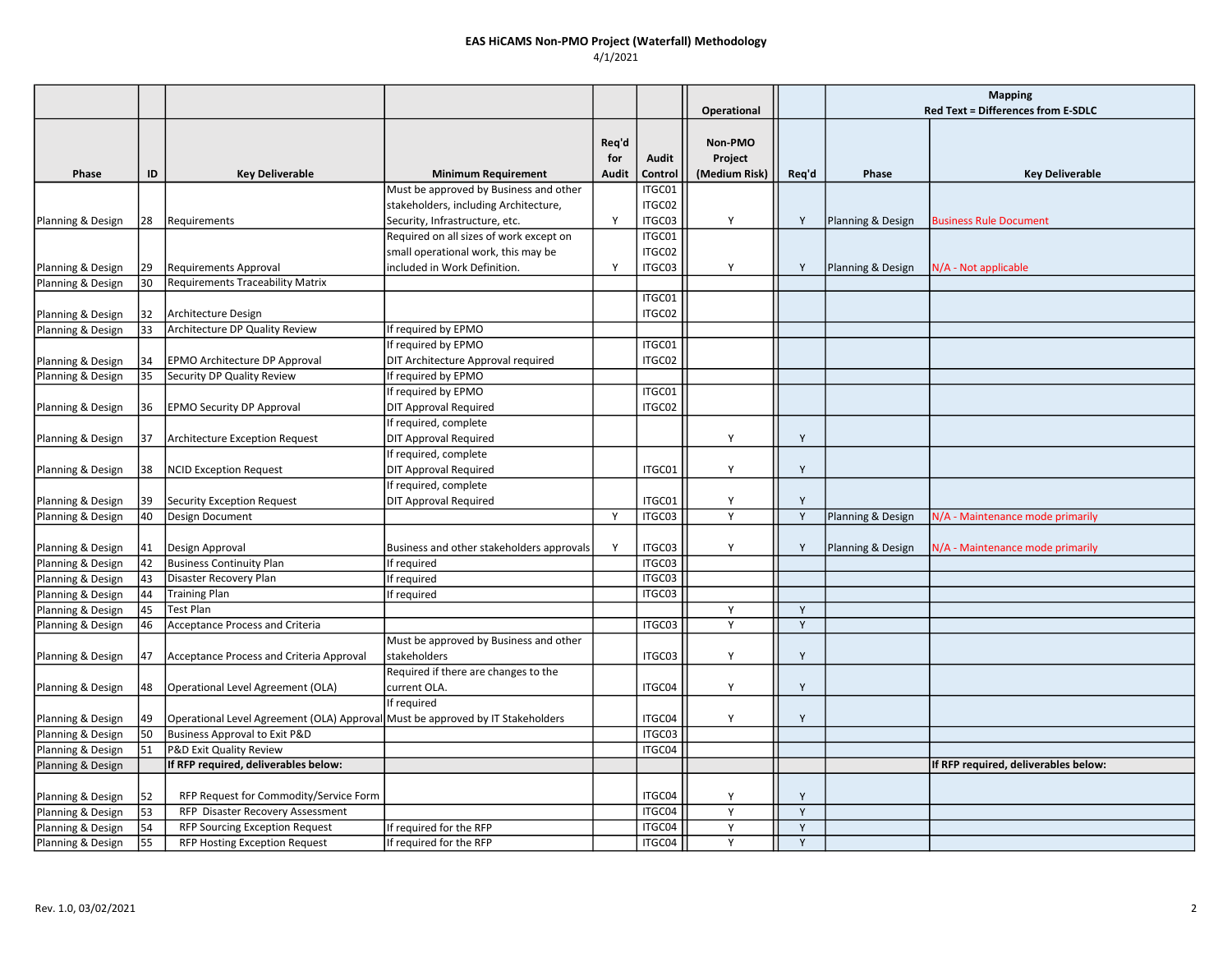#### EAS HiCAMS Non-PMO Project (Waterfall) Methodology 4/1/2021

**Operational** Phase ID Key Deliverable Minimum Requirement Req'd for Audit Audit Control Non-PMO Project (Medium Risk) Req'd Phase Requires Rey Deliverable Mapping Red Text = Differences from E-SDLC Planning & Design | 28 | Requirements Must be approved by Business and other stakeholders, including Architecture, Security, Infrastructure, etc. The Manus of the V ITGC01 ITGC02 ITGC03  $\begin{vmatrix} 1 & 1 \end{vmatrix}$  Y Planning & Design Business Rule Document Planning & Design | 29 | Requirements Approval Required on all sizes of work except on small operational work, this may be included in Work Definition.  $\overline{Y}$ ITGC01 ITGC02 ITGC03  $\begin{vmatrix} 1 & 1 \end{vmatrix}$  Y Planning & Design  $\begin{vmatrix} N/A \end{vmatrix}$  - Not applicable Planning & Design | 30 | Requirements Traceability Matrix Planning & Design | 32 | Architecture Design ITGC01 ITGC02 Planning & Design 33 Architecture DP Quality Review If required by EPMO Planning & Design | 34 | EPMO Architecture DP Approval If required by EPMO DIT Architecture Approval required ITGC01 ITGC02 Planning & Design 35 Security DP Quality Review If required by EPMO Planning & Design | 36 | EPMO Security DP Approval If required by EPMO DIT Approval Required ITGC01 ITGC02 Planning & Design | 37 | Architecture Exception Request If required, complete DIT Approval Required Y Y Planning & Design | 38 | NCID Exception Request If required, complete DIT Approval Required  $\vert$  | ITGC01 | Y | Y Planning & Design | 39 | Security Exception Request If required, complete DIT Approval Required  $\vert$  | ITGC01 | | Y | | Y Planning & Design 40 Design Document National Planning Will Conserved Marshall Marshall Y | ITGC03 | Y | | Y | Planning & Design N/A - Maintenance mode primarily Planning & Design 41 Design Approval Business and other stakeholders approvals Y ITGC03 Y Y Planning & Design N/A - Maintenance mode primarily Planning & Design |42 | Business Continuity Plan International If required International International ITGC03 Planning & Design |43 | Disaster Recovery Plan Integration Integrated Integration Integration Integration Integr Planning & Design |44 Training Plan If required If required ITGC03 Planning & Design 45 Test Plan Y Y Planning & Design 46 Acceptance Process and Criteria ITGC03 N 7 7 | Y | Y | Y | Y Planning & Design | 47 | Acceptance Process and Criteria Approval Must be approved by Business and other stakeholders ITGC03 Y Y Planning & Design | 48 | Operational Level Agreement (OLA) Required if there are changes to the current OLA. ITGC04 Y Y Planning & Design | 49 | Operational Level Agreement (OLA) Approval If required Must be approved by IT Stakeholders ITGC04 Y Y Planning & Design 50 Business Approval to Exit P&D **ITGC03** ITGC03 Planning & Design 51 P&D Exit Quality Review **Internal Contract Contract Contract Contract Contract Contract Contract Contract Contract Contract Contract Contract Contract Contract Contract Contract Contract Contract Contr** Planning & Design If RFP required, deliverables below: If RFP required, deliverables below: Planning & Design | 52 | RFP Request for Commodity/Service Form | The COMENT | THE COMENT | Y | | Y | | Y Planning & Design 53 RFP Disaster Recovery Assessment | The COME COME | TGC04 | Y | Y Planning & Design 54 RFP Sourcing Exception Request If required for the RFP ITGC04 Y Y Planning & Design 55 RFP Hosting Exception Request If required for the RFP ITGC04 Y Y Y Y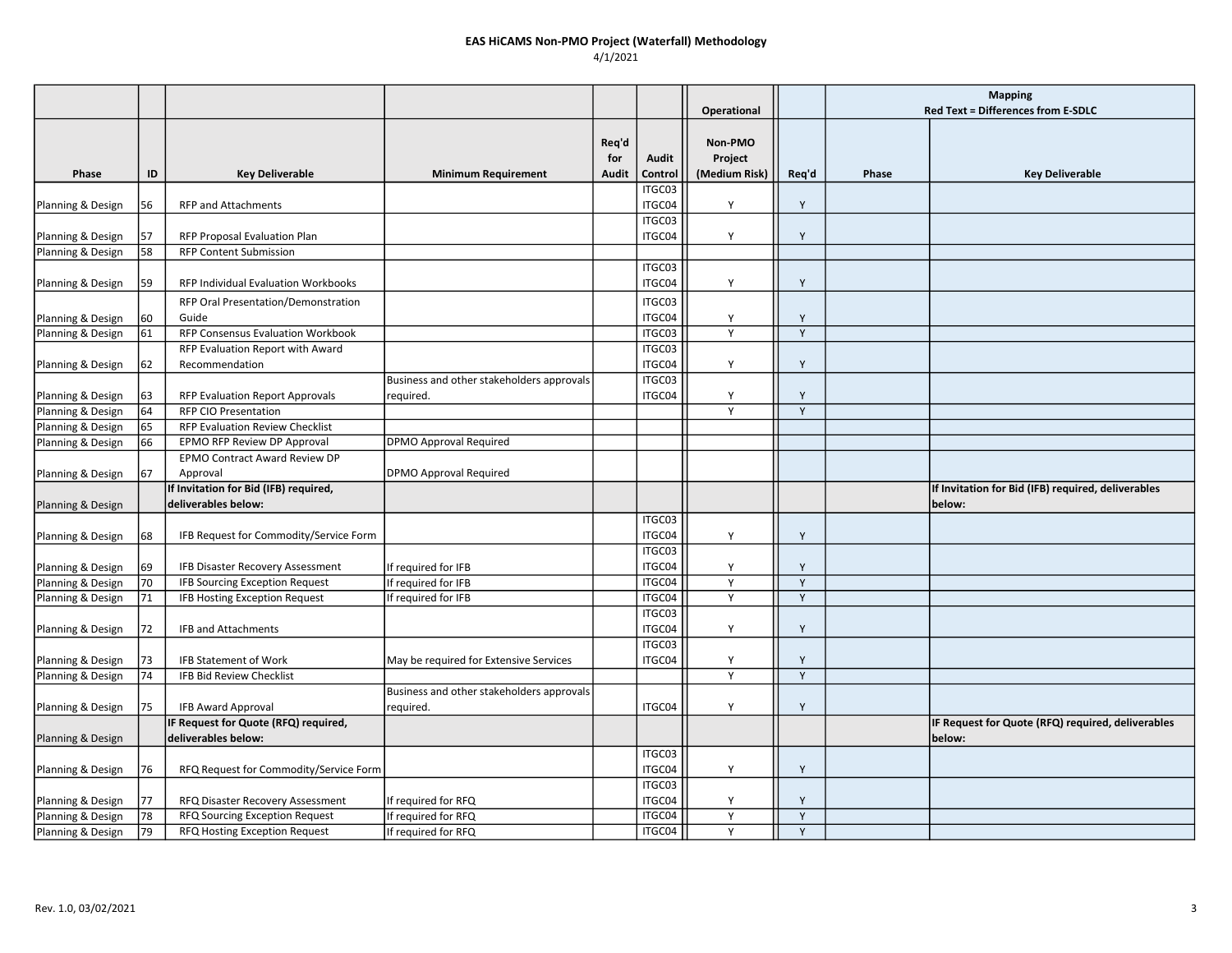### EAS HiCAMS Non-PMO Project (Waterfall) Methodology 4/1/2021

|                   |    |                                                              |                                           |              |                  |               |       | <b>Mapping</b> |                                                              |
|-------------------|----|--------------------------------------------------------------|-------------------------------------------|--------------|------------------|---------------|-------|----------------|--------------------------------------------------------------|
|                   |    |                                                              |                                           |              |                  | Operational   |       |                | Red Text = Differences from E-SDLC                           |
|                   |    |                                                              |                                           |              |                  |               |       |                |                                                              |
|                   |    |                                                              |                                           | Reg'd        |                  | Non-PMO       |       |                |                                                              |
|                   |    |                                                              |                                           | for          | Audit            | Project       |       |                |                                                              |
| Phase             | ID | <b>Key Deliverable</b>                                       | <b>Minimum Requirement</b>                | <b>Audit</b> | Control          | (Medium Risk) | Req'd | Phase          | <b>Key Deliverable</b>                                       |
| Planning & Design | 56 | <b>RFP and Attachments</b>                                   |                                           |              | ITGC03<br>ITGC04 | Y             | Y     |                |                                                              |
| Planning & Design | 57 | RFP Proposal Evaluation Plan                                 |                                           |              | ITGC03<br>ITGC04 | Y             | Y     |                |                                                              |
| Planning & Design | 58 | <b>RFP Content Submission</b>                                |                                           |              |                  |               |       |                |                                                              |
|                   |    |                                                              |                                           |              | ITGC03           |               |       |                |                                                              |
| Planning & Design | 59 | RFP Individual Evaluation Workbooks                          |                                           |              | ITGC04           | Y             | Y     |                |                                                              |
|                   |    | RFP Oral Presentation/Demonstration                          |                                           |              | ITGC03           |               |       |                |                                                              |
| Planning & Design | 60 | Guide                                                        |                                           |              | ITGC04           | Y             | Y     |                |                                                              |
| Planning & Design | 61 | RFP Consensus Evaluation Workbook                            |                                           |              | ITGC03           | Y             | Y     |                |                                                              |
|                   |    | RFP Evaluation Report with Award                             |                                           |              | ITGC03           |               |       |                |                                                              |
| Planning & Design | 62 | Recommendation                                               |                                           |              | ITGC04           | Y             | Y     |                |                                                              |
|                   |    |                                                              | Business and other stakeholders approvals |              | ITGC03           |               |       |                |                                                              |
| Planning & Design | 63 | <b>RFP Evaluation Report Approvals</b>                       | required.                                 |              | ITGC04           | Y             | Y     |                |                                                              |
| Planning & Design | 64 | <b>RFP CIO Presentation</b>                                  |                                           |              |                  | Y             | Y     |                |                                                              |
| Planning & Design | 65 | RFP Evaluation Review Checklist                              |                                           |              |                  |               |       |                |                                                              |
| Planning & Design | 66 | EPMO RFP Review DP Approval                                  | DPMO Approval Required                    |              |                  |               |       |                |                                                              |
|                   |    | EPMO Contract Award Review DP                                |                                           |              |                  |               |       |                |                                                              |
| Planning & Design | 67 | Approval                                                     | <b>DPMO Approval Required</b>             |              |                  |               |       |                |                                                              |
| Planning & Design |    | If Invitation for Bid (IFB) required,<br>deliverables below: |                                           |              |                  |               |       |                | If Invitation for Bid (IFB) required, deliverables<br>below: |
|                   |    |                                                              |                                           |              | ITGC03           |               |       |                |                                                              |
| Planning & Design | 68 | IFB Request for Commodity/Service Form                       |                                           |              | ITGC04           | Y             | Υ     |                |                                                              |
|                   |    |                                                              |                                           |              | ITGC03           |               |       |                |                                                              |
| Planning & Design | 69 | IFB Disaster Recovery Assessment                             | If required for IFB                       |              | ITGC04           | Y             | Υ     |                |                                                              |
| Planning & Design | 70 | <b>IFB Sourcing Exception Request</b>                        | If required for IFB                       |              | ITGC04           | Y             | Y     |                |                                                              |
| Planning & Design | 71 | IFB Hosting Exception Request                                | If required for IFB                       |              | ITGC04           | Y             | Y     |                |                                                              |
|                   |    |                                                              |                                           |              | ITGC03           |               |       |                |                                                              |
| Planning & Design | 72 | <b>IFB and Attachments</b>                                   |                                           |              | ITGC04           | Y             | Y     |                |                                                              |
|                   |    |                                                              |                                           |              | ITGC03           |               |       |                |                                                              |
| Planning & Design | 73 | <b>IFB Statement of Work</b>                                 | May be required for Extensive Services    |              | ITGC04           | Y             | Y     |                |                                                              |
| Planning & Design | 74 | IFB Bid Review Checklist                                     |                                           |              |                  | Y             | Y     |                |                                                              |
|                   |    |                                                              | Business and other stakeholders approvals |              |                  |               |       |                |                                                              |
| Planning & Design | 75 | <b>IFB Award Approval</b>                                    | required.                                 |              | ITGC04           | Y             | Y     |                |                                                              |
|                   |    | IF Request for Quote (RFQ) required,                         |                                           |              |                  |               |       |                | IF Request for Quote (RFQ) required, deliverables            |
| Planning & Design |    | deliverables below:                                          |                                           |              |                  |               |       |                | below:                                                       |
|                   |    |                                                              |                                           |              | ITGC03           |               |       |                |                                                              |
| Planning & Design | 76 | RFQ Request for Commodity/Service Form                       |                                           |              | ITGC04           | Y             | Y     |                |                                                              |
|                   |    |                                                              |                                           |              | ITGC03           |               |       |                |                                                              |
| Planning & Design | 77 | RFQ Disaster Recovery Assessment                             | If required for RFQ                       |              | ITGC04           | Y             | Y     |                |                                                              |
| Planning & Design | 78 | RFQ Sourcing Exception Request                               | If required for RFQ                       |              | ITGC04           | Y             | Y     |                |                                                              |
| Planning & Design | 79 | RFQ Hosting Exception Request                                | If required for RFQ                       |              | ITGC04           | Y             | Y     |                |                                                              |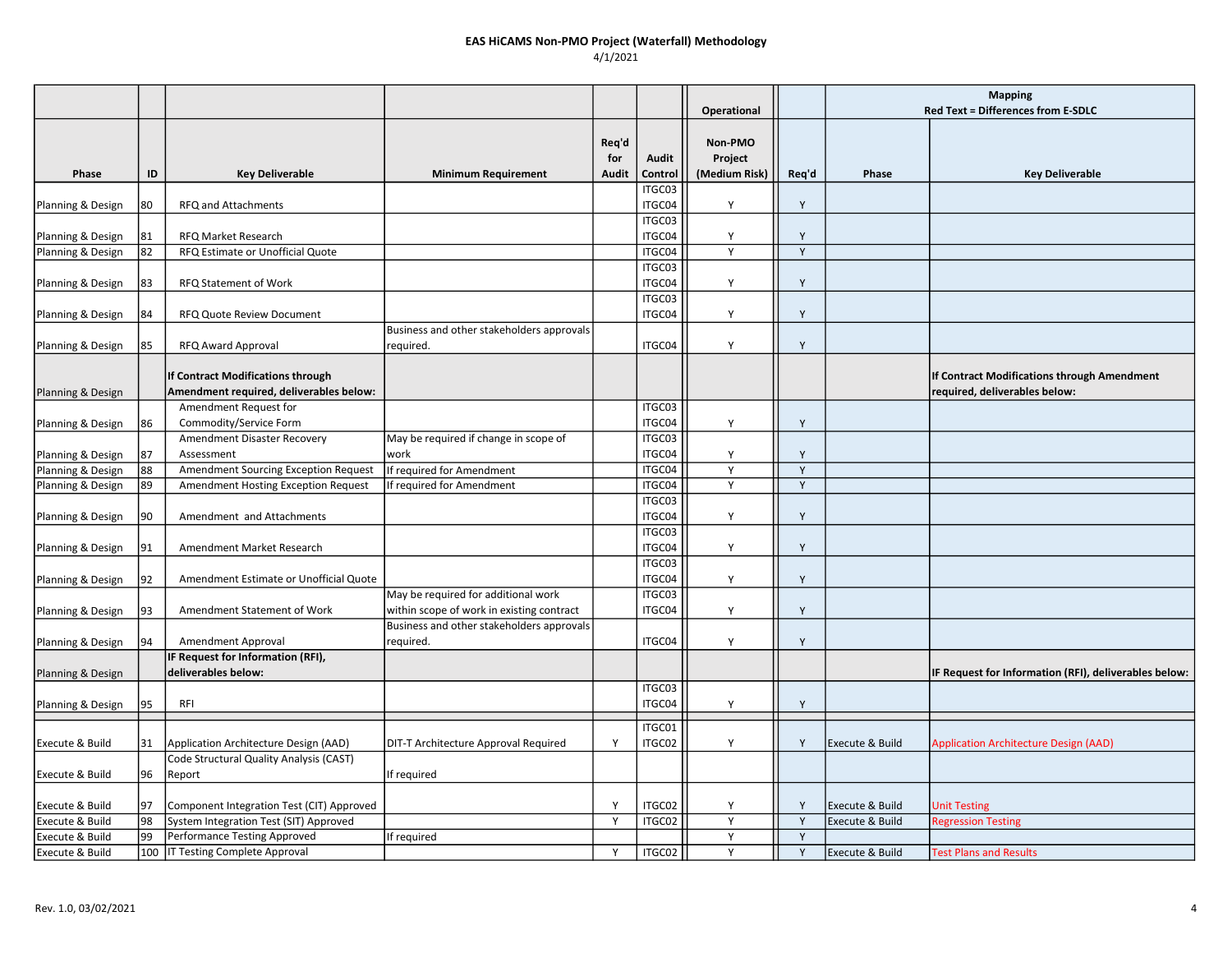### EAS HiCAMS Non-PMO Project (Waterfall) Methodology 4/1/2021

|                   |    |                                                                                     |                                                        |              |                  |                    |       | <b>Mapping</b>  |                                                                              |
|-------------------|----|-------------------------------------------------------------------------------------|--------------------------------------------------------|--------------|------------------|--------------------|-------|-----------------|------------------------------------------------------------------------------|
|                   |    |                                                                                     |                                                        |              |                  | Operational        |       |                 | Red Text = Differences from E-SDLC                                           |
|                   |    |                                                                                     |                                                        | Req'd<br>for | Audit            | Non-PMO<br>Project |       |                 |                                                                              |
| Phase             | ID | <b>Key Deliverable</b>                                                              | <b>Minimum Requirement</b>                             | Audit        | Control          | (Medium Risk)      | Req'd | Phase           | <b>Key Deliverable</b>                                                       |
| Planning & Design | 80 | RFQ and Attachments                                                                 |                                                        |              | ITGC03<br>ITGC04 | Y                  | Y     |                 |                                                                              |
| Planning & Design | 81 | <b>RFQ Market Research</b>                                                          |                                                        |              | ITGC03<br>ITGC04 | Y                  | Y     |                 |                                                                              |
| Planning & Design | 82 | RFQ Estimate or Unofficial Quote                                                    |                                                        |              | ITGC04           | Y                  | Y     |                 |                                                                              |
| Planning & Design | 83 | RFQ Statement of Work                                                               |                                                        |              | ITGC03<br>ITGC04 | Y                  | Y     |                 |                                                                              |
| Planning & Design | 84 | <b>RFQ Quote Review Document</b>                                                    |                                                        |              | ITGC03<br>ITGC04 | Y                  | Y     |                 |                                                                              |
| Planning & Design | 85 | RFQ Award Approval                                                                  | Business and other stakeholders approvals<br>required. |              | ITGC04           | Y                  | Y     |                 |                                                                              |
| Planning & Design |    | <b>If Contract Modifications through</b><br>Amendment required, deliverables below: |                                                        |              |                  |                    |       |                 | If Contract Modifications through Amendment<br>required, deliverables below: |
|                   |    | Amendment Request for                                                               |                                                        |              | ITGC03           |                    |       |                 |                                                                              |
| Planning & Design | 86 | Commodity/Service Form                                                              |                                                        |              | ITGC04           | Y                  | Y     |                 |                                                                              |
|                   |    | Amendment Disaster Recovery                                                         | May be required if change in scope of                  |              | ITGC03           |                    |       |                 |                                                                              |
| Planning & Design | 87 | Assessment                                                                          | work                                                   |              | ITGC04           | Y                  | Y     |                 |                                                                              |
| Planning & Design | 88 | Amendment Sourcing Exception Request                                                | If required for Amendment                              |              | ITGC04           | Y                  | Y     |                 |                                                                              |
| Planning & Design | 89 | Amendment Hosting Exception Request                                                 | If required for Amendment                              |              | ITGC04           | Y                  | Y     |                 |                                                                              |
| Planning & Design | 90 | Amendment and Attachments                                                           |                                                        |              | ITGC03<br>ITGC04 | Y                  | Υ     |                 |                                                                              |
| Planning & Design | 91 | Amendment Market Research                                                           |                                                        |              | ITGC03<br>ITGC04 | Y                  | Y     |                 |                                                                              |
| Planning & Design | 92 | Amendment Estimate or Unofficial Quote                                              |                                                        |              | ITGC03<br>ITGC04 | Y                  | Υ     |                 |                                                                              |
|                   |    |                                                                                     | May be required for additional work                    |              | ITGC03           |                    |       |                 |                                                                              |
| Planning & Design | 93 | Amendment Statement of Work                                                         | within scope of work in existing contract              |              | ITGC04           | Y                  | Y     |                 |                                                                              |
|                   |    |                                                                                     | Business and other stakeholders approvals              |              |                  |                    |       |                 |                                                                              |
| Planning & Design | 94 | Amendment Approval                                                                  | required.                                              |              | ITGC04           | Y                  | Y     |                 |                                                                              |
|                   |    | IF Request for Information (RFI),                                                   |                                                        |              |                  |                    |       |                 |                                                                              |
| Planning & Design |    | deliverables below:                                                                 |                                                        |              |                  |                    |       |                 | IF Request for Information (RFI), deliverables below:                        |
| Planning & Design | 95 | <b>RFI</b>                                                                          |                                                        |              | ITGC03<br>ITGC04 | Y                  | Y     |                 |                                                                              |
|                   |    |                                                                                     |                                                        |              |                  |                    |       |                 |                                                                              |
| Execute & Build   | 31 | Application Architecture Design (AAD)                                               | DIT-T Architecture Approval Required                   | Y            | ITGC01<br>ITGC02 | Y                  | Y     | Execute & Build | <b>Application Architecture Design (AAD)</b>                                 |
| Execute & Build   | 96 | Code Structural Quality Analysis (CAST)<br>Report                                   | If required                                            |              |                  |                    |       |                 |                                                                              |
| Execute & Build   | 97 | Component Integration Test (CIT) Approved                                           |                                                        | Y            | ITGC02           | Y                  | Y     | Execute & Build | <b>Unit Testing</b>                                                          |
| Execute & Build   | 98 | System Integration Test (SIT) Approved                                              |                                                        | Y            | ITGC02           | Y                  | Y     | Execute & Build | <b>Regression Testing</b>                                                    |
| Execute & Build   | 99 | Performance Testing Approved                                                        | If required                                            |              |                  | Y                  | Y     |                 |                                                                              |
| Execute & Build   |    | 100   IT Testing Complete Approval                                                  |                                                        | Y            | ITGC02           | Y                  | Y     | Execute & Build | <b>Test Plans and Results</b>                                                |